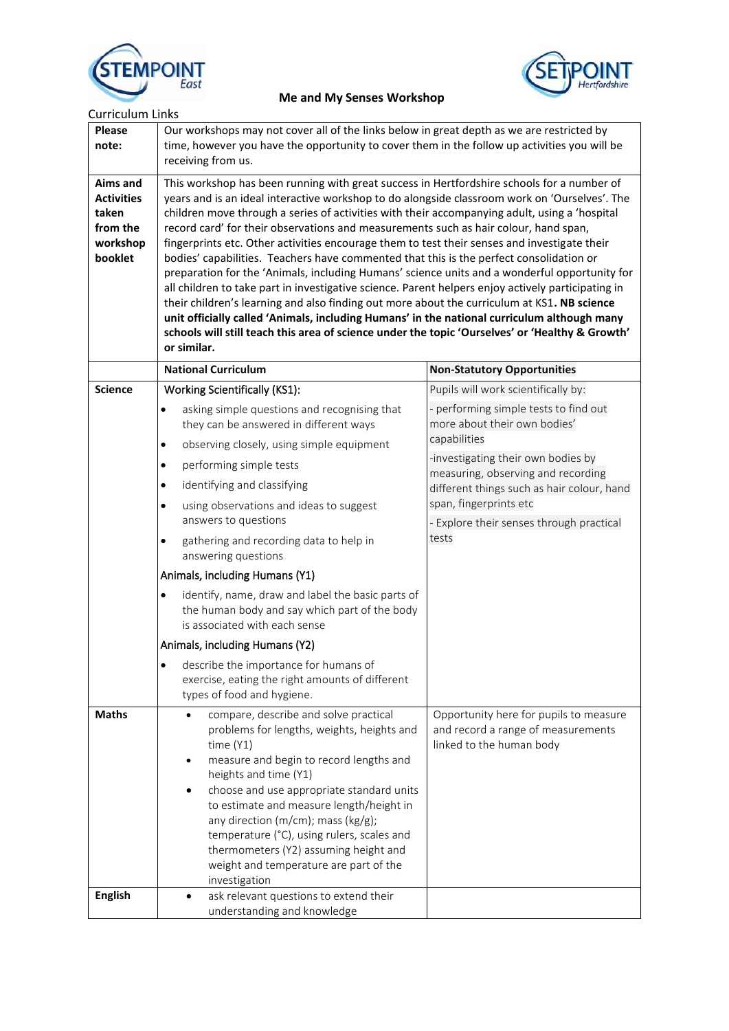



 **Me and My Senses Workshop** 

| <b>Curriculum Links</b>                                                          |                                                                                                                                                                                                                                                                                                                                                                                                                                                                                                                                                                                                                                                                                                                                                                                                                                                                                                                                                                                                                                                                                                        |                                                                                                                                                                                                                                                                                                                                       |
|----------------------------------------------------------------------------------|--------------------------------------------------------------------------------------------------------------------------------------------------------------------------------------------------------------------------------------------------------------------------------------------------------------------------------------------------------------------------------------------------------------------------------------------------------------------------------------------------------------------------------------------------------------------------------------------------------------------------------------------------------------------------------------------------------------------------------------------------------------------------------------------------------------------------------------------------------------------------------------------------------------------------------------------------------------------------------------------------------------------------------------------------------------------------------------------------------|---------------------------------------------------------------------------------------------------------------------------------------------------------------------------------------------------------------------------------------------------------------------------------------------------------------------------------------|
| <b>Please</b><br>note:                                                           | Our workshops may not cover all of the links below in great depth as we are restricted by<br>time, however you have the opportunity to cover them in the follow up activities you will be<br>receiving from us.                                                                                                                                                                                                                                                                                                                                                                                                                                                                                                                                                                                                                                                                                                                                                                                                                                                                                        |                                                                                                                                                                                                                                                                                                                                       |
| <b>Aims and</b><br><b>Activities</b><br>taken<br>from the<br>workshop<br>booklet | This workshop has been running with great success in Hertfordshire schools for a number of<br>years and is an ideal interactive workshop to do alongside classroom work on 'Ourselves'. The<br>children move through a series of activities with their accompanying adult, using a 'hospital<br>record card' for their observations and measurements such as hair colour, hand span,<br>fingerprints etc. Other activities encourage them to test their senses and investigate their<br>bodies' capabilities. Teachers have commented that this is the perfect consolidation or<br>preparation for the 'Animals, including Humans' science units and a wonderful opportunity for<br>all children to take part in investigative science. Parent helpers enjoy actively participating in<br>their children's learning and also finding out more about the curriculum at KS1. NB science<br>unit officially called 'Animals, including Humans' in the national curriculum although many<br>schools will still teach this area of science under the topic 'Ourselves' or 'Healthy & Growth'<br>or similar. |                                                                                                                                                                                                                                                                                                                                       |
|                                                                                  | <b>National Curriculum</b>                                                                                                                                                                                                                                                                                                                                                                                                                                                                                                                                                                                                                                                                                                                                                                                                                                                                                                                                                                                                                                                                             | <b>Non-Statutory Opportunities</b>                                                                                                                                                                                                                                                                                                    |
|                                                                                  | <b>Working Scientifically (KS1):</b><br>asking simple questions and recognising that<br>$\bullet$<br>they can be answered in different ways<br>observing closely, using simple equipment<br>$\bullet$<br>performing simple tests<br>$\bullet$                                                                                                                                                                                                                                                                                                                                                                                                                                                                                                                                                                                                                                                                                                                                                                                                                                                          | Pupils will work scientifically by:<br>- performing simple tests to find out<br>more about their own bodies'<br>capabilities<br>-investigating their own bodies by<br>measuring, observing and recording<br>different things such as hair colour, hand<br>span, fingerprints etc<br>- Explore their senses through practical<br>tests |
|                                                                                  | identifying and classifying<br>$\bullet$<br>using observations and ideas to suggest<br>$\bullet$<br>answers to questions<br>$\bullet$<br>gathering and recording data to help in                                                                                                                                                                                                                                                                                                                                                                                                                                                                                                                                                                                                                                                                                                                                                                                                                                                                                                                       |                                                                                                                                                                                                                                                                                                                                       |
|                                                                                  | answering questions                                                                                                                                                                                                                                                                                                                                                                                                                                                                                                                                                                                                                                                                                                                                                                                                                                                                                                                                                                                                                                                                                    |                                                                                                                                                                                                                                                                                                                                       |
|                                                                                  | Animals, including Humans (Y1)                                                                                                                                                                                                                                                                                                                                                                                                                                                                                                                                                                                                                                                                                                                                                                                                                                                                                                                                                                                                                                                                         |                                                                                                                                                                                                                                                                                                                                       |
|                                                                                  | identify, name, draw and label the basic parts of<br>$\bullet$<br>the human body and say which part of the body<br>is associated with each sense                                                                                                                                                                                                                                                                                                                                                                                                                                                                                                                                                                                                                                                                                                                                                                                                                                                                                                                                                       |                                                                                                                                                                                                                                                                                                                                       |
|                                                                                  | Animals, including Humans (Y2)                                                                                                                                                                                                                                                                                                                                                                                                                                                                                                                                                                                                                                                                                                                                                                                                                                                                                                                                                                                                                                                                         |                                                                                                                                                                                                                                                                                                                                       |
|                                                                                  | describe the importance for humans of<br>$\bullet$<br>exercise, eating the right amounts of different<br>types of food and hygiene.                                                                                                                                                                                                                                                                                                                                                                                                                                                                                                                                                                                                                                                                                                                                                                                                                                                                                                                                                                    |                                                                                                                                                                                                                                                                                                                                       |
| <b>Maths</b>                                                                     | compare, describe and solve practical<br>problems for lengths, weights, heights and<br>time $(Y1)$<br>measure and begin to record lengths and<br>$\bullet$<br>heights and time (Y1)<br>choose and use appropriate standard units<br>٠<br>to estimate and measure length/height in<br>any direction (m/cm); mass (kg/g);<br>temperature (°C), using rulers, scales and<br>thermometers (Y2) assuming height and<br>weight and temperature are part of the<br>investigation                                                                                                                                                                                                                                                                                                                                                                                                                                                                                                                                                                                                                              | Opportunity here for pupils to measure<br>and record a range of measurements<br>linked to the human body                                                                                                                                                                                                                              |
| <b>English</b>                                                                   | ask relevant questions to extend their<br>understanding and knowledge                                                                                                                                                                                                                                                                                                                                                                                                                                                                                                                                                                                                                                                                                                                                                                                                                                                                                                                                                                                                                                  |                                                                                                                                                                                                                                                                                                                                       |